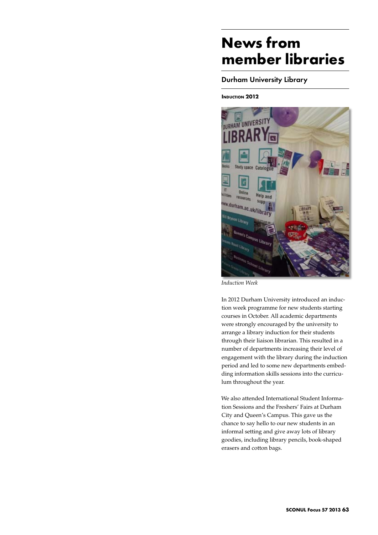# **News from member libraries**

## Durham University Library

## **INDUCTION 2012**



*Induction Week*

In 2012 Durham University introduced an induction week programme for new students starting courses in October. All academic departments were strongly encouraged by the university to arrange a library induction for their students through their liaison librarian. This resulted in a number of departments increasing their level of engagement with the library during the induction period and led to some new departments embedding information skills sessions into the curriculum throughout the year.

We also attended International Student Information Sessions and the Freshers' Fairs at Durham City and Queen's Campus. This gave us the chance to say hello to our new students in an informal setting and give away lots of library goodies, including library pencils, book-shaped erasers and cotton bags.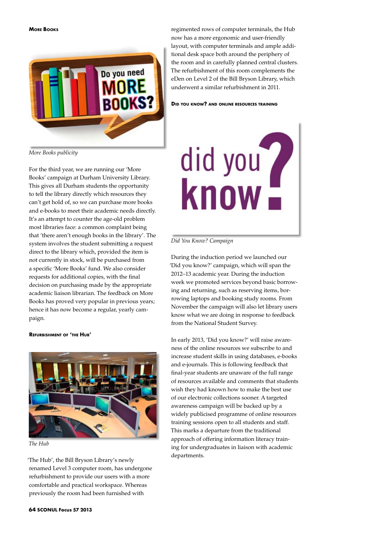

regimented rows of computer terminals, the Hub now has a more ergonomic and user-friendly layout, with computer terminals and ample additional desk space both around the periphery of the room and in carefully planned central clusters. The refurbishment of this room complements the eDen on Level 2 of the Bill Bryson Library, which underwent a similar refurbishment in 2011.

**Did you know? and online resources training**



For the third year, we are running our 'More Books' campaign at Durham University Library. This gives all Durham students the opportunity to tell the library directly which resources they can't get hold of, so we can purchase more books and e-books to meet their academic needs directly. It's an attempt to counter the age-old problem most libraries face: a common complaint being that 'there aren't enough books in the library'. The system involves the student submitting a request direct to the library which, provided the item is not currently in stock, will be purchased from a specific 'More Books' fund. We also consider requests for additional copies, with the final decision on purchasing made by the appropriate academic liaison librarian. The feedback on More Books has proved very popular in previous years; hence it has now become a regular, yearly campaign.

#### **Refurbishment of 'the Hub'**



*The Hub*

'The Hub', the Bill Bryson Library's newly renamed Level 3 computer room, has undergone refurbishment to provide our users with a more comfortable and practical workspace. Whereas previously the room had been furnished with



#### *Did You Know? Campaign*

During the induction period we launched our 'Did you know?' campaign, which will span the 2012–13 academic year. During the induction week we promoted services beyond basic borrowing and returning, such as reserving items, borrowing laptops and booking study rooms. From November the campaign will also let library users know what we are doing in response to feedback from the National Student Survey.

In early 2013, 'Did you know?' will raise awareness of the online resources we subscribe to and increase student skills in using databases, e-books and e-journals. This is following feedback that final-year students are unaware of the full range of resources available and comments that students wish they had known how to make the best use of our electronic collections sooner. A targeted awareness campaign will be backed up by a widely publicised programme of online resources training sessions open to all students and staff. This marks a departure from the traditional approach of offering information literacy training for undergraduates in liaison with academic departments.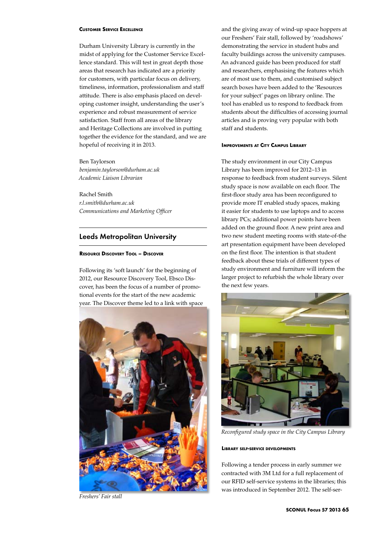#### **Customer Service Excellence**

Durham University Library is currently in the midst of applying for the Customer Service Excellence standard. This will test in great depth those areas that research has indicated are a priority for customers, with particular focus on delivery, timeliness, information, professionalism and staff attitude. There is also emphasis placed on developing customer insight, understanding the user's experience and robust measurement of service satisfaction. Staff from all areas of the library and Heritage Collections are involved in putting together the evidence for the standard, and we are hopeful of receiving it in 2013.

Ben Taylorson *benjamin.taylorson@durham.ac.uk Academic Liaison Librarian*

Rachel Smith *r.l.smith@durham.ac.uk Communications and Marketing Officer*

## Leeds Metropolitan University

## **Resource Discovery Tool – Discover**

Following its 'soft launch' for the beginning of 2012, our Resource Discovery Tool, Ebsco Discover, has been the focus of a number of promotional events for the start of the new academic year. The Discover theme led to a link with space



*Freshers' Fair stall*

and the giving away of wind-up space hoppers at our Freshers' Fair stall, followed by 'roadshows' demonstrating the service in student hubs and faculty buildings across the university campuses. An advanced guide has been produced for staff and researchers, emphasising the features which are of most use to them, and customised subject search boxes have been added to the 'Resources for your subject' pages on library online. The tool has enabled us to respond to feedback from students about the difficulties of accessing journal articles and is proving very popular with both staff and students.

#### **Improvements at City Campus Library**

The study environment in our City Campus Library has been improved for 2012–13 in response to feedback from student surveys. Silent study space is now available on each floor. The first-floor study area has been reconfigured to provide more IT enabled study spaces, making it easier for students to use laptops and to access library PCs; additional power points have been added on the ground floor. A new print area and two new student meeting rooms with state-of-the art presentation equipment have been developed on the first floor. The intention is that student feedback about these trials of different types of study environment and furniture will inform the larger project to refurbish the whole library over the next few years.



*Reconfigured study space in the City Campus Library*

**Library self-service developments**

Following a tender process in early summer we contracted with 3M Ltd for a full replacement of our RFID self-service systems in the libraries; this was introduced in September 2012. The self-ser